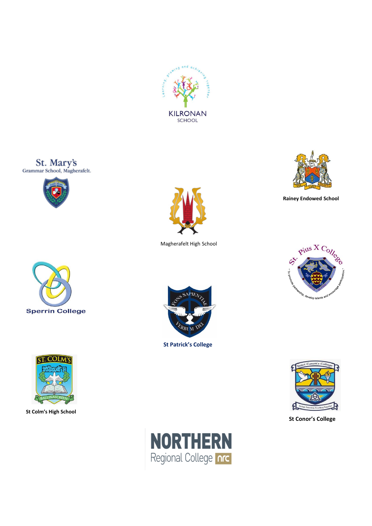









**St Colm's High School**



Magherafelt High School



**Rainey Endowed School**





 **St Patrick's College**



**St Conor's College**

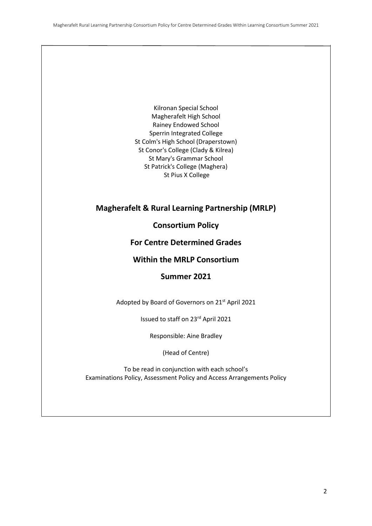Kilronan Special School Magherafelt High School Rainey Endowed School Sperrin Integrated College St Colm's High School (Draperstown) St Conor's College (Clady & Kilrea) St Mary's Grammar School St Patrick's College (Maghera) St Pius X College

# **Magherafelt & Rural Learning Partnership (MRLP)**

**Consortium Policy** 

## **For Centre Determined Grades**

## **Within the MRLP Consortium**

# **Summer 2021**

Adopted by Board of Governors on 21st April 2021

Issued to staff on 23rd April 2021

Responsible: Aine Bradley

(Head of Centre)

To be read in conjunction with each school's Examinations Policy, Assessment Policy and Access Arrangements Policy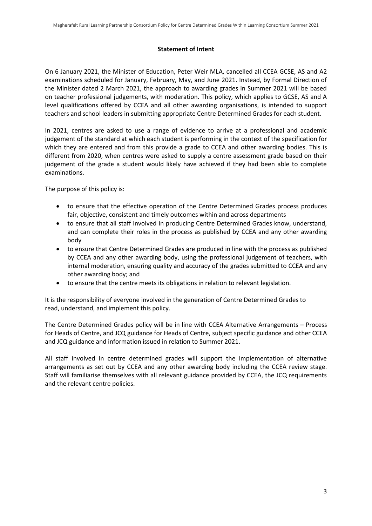#### **Statement of Intent**

On 6 January 2021, the Minister of Education, Peter Weir MLA, cancelled all CCEA GCSE, AS and A2 examinations scheduled for January, February, May, and June 2021. Instead, by Formal Direction of the Minister dated 2 March 2021, the approach to awarding grades in Summer 2021 will be based on teacher professional judgements, with moderation. This policy, which applies to GCSE, AS and A level qualifications offered by CCEA and all other awarding organisations, is intended to support teachers and school leaders in submitting appropriate Centre Determined Grades for each student.

In 2021, centres are asked to use a range of evidence to arrive at a professional and academic judgement of the standard at which each student is performing in the context of the specification for which they are entered and from this provide a grade to CCEA and other awarding bodies. This is different from 2020, when centres were asked to supply a centre assessment grade based on their judgement of the grade a student would likely have achieved if they had been able to complete examinations.

The purpose of this policy is:

- to ensure that the effective operation of the Centre Determined Grades process produces fair, objective, consistent and timely outcomes within and across departments
- to ensure that all staff involved in producing Centre Determined Grades know, understand, and can complete their roles in the process as published by CCEA and any other awarding body
- to ensure that Centre Determined Grades are produced in line with the process as published by CCEA and any other awarding body, using the professional judgement of teachers, with internal moderation, ensuring quality and accuracy of the grades submitted to CCEA and any other awarding body; and
- to ensure that the centre meets its obligations in relation to relevant legislation.

It is the responsibility of everyone involved in the generation of Centre Determined Grades to read, understand, and implement this policy.

The Centre Determined Grades policy will be in line with CCEA Alternative Arrangements – Process for Heads of Centre, and JCQ guidance for Heads of Centre, subject specific guidance and other CCEA and JCQ guidance and information issued in relation to Summer 2021.

All staff involved in centre determined grades will support the implementation of alternative arrangements as set out by CCEA and any other awarding body including the CCEA review stage. Staff will familiarise themselves with all relevant guidance provided by CCEA, the JCQ requirements and the relevant centre policies.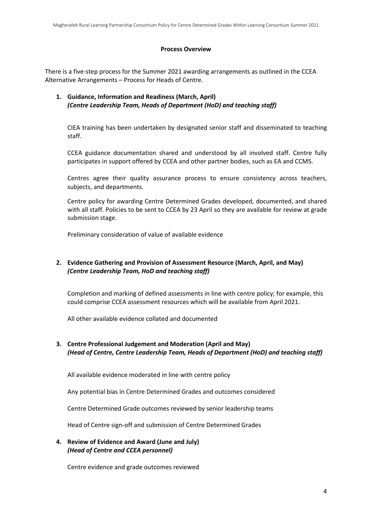#### **Process Overview**

There is a five-step process for the Summer 2021 awarding arrangements as outlined in the CCEA Alternative Arrangements – Process for Heads of Centre.

#### **1. Guidance, Information and Readiness (March, April)** *(Centre Leadership Team, Heads of Department (HoD) and teaching staff)*

CIEA training has been undertaken by designated senior staff and disseminated to teaching staff.

CCEA guidance documentation shared and understood by all involved staff. Centre fully participates in support offered by CCEA and other partner bodies, such as EA and CCMS.

Centres agree their quality assurance process to ensure consistency across teachers, subjects, and departments.

Centre policy for awarding Centre Determined Grades developed, documented, and shared with all staff. Policies to be sent to CCEA by 23 April so they are available for review at grade submission stage.

Preliminary consideration of value of available evidence

### **2. Evidence Gathering and Provision of Assessment Resource (March, April, and May)** *(Centre Leadership Team, HoD and teaching staff)*

Completion and marking of defined assessments in line with centre policy; for example, this could comprise CCEA assessment resources which will be available from April 2021.

All other available evidence collated and documented

### **3. Centre Professional Judgement and Moderation (April and May)** *(Head of Centre, Centre Leadership Team, Heads of Department (HoD) and teaching staff)*

All available evidence moderated in line with centre policy

Any potential bias in Centre Determined Grades and outcomes considered

Centre Determined Grade outcomes reviewed by senior leadership teams

Head of Centre sign-off and submission of Centre Determined Grades

**4. Review of Evidence and Award (June and July)** *(Head of Centre and CCEA personnel)*

Centre evidence and grade outcomes reviewed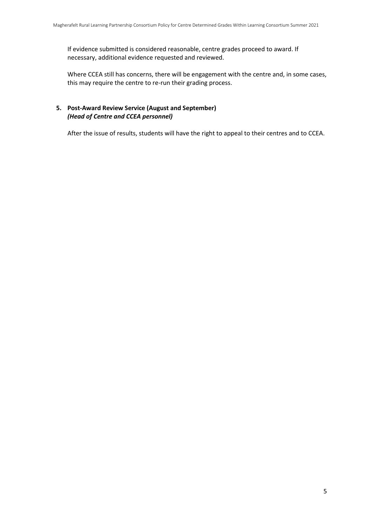If evidence submitted is considered reasonable, centre grades proceed to award. If necessary, additional evidence requested and reviewed.

Where CCEA still has concerns, there will be engagement with the centre and, in some cases, this may require the centre to re-run their grading process.

#### **5. Post-Award Review Service (August and September)** *(Head of Centre and CCEA personnel)*

After the issue of results, students will have the right to appeal to their centres and to CCEA.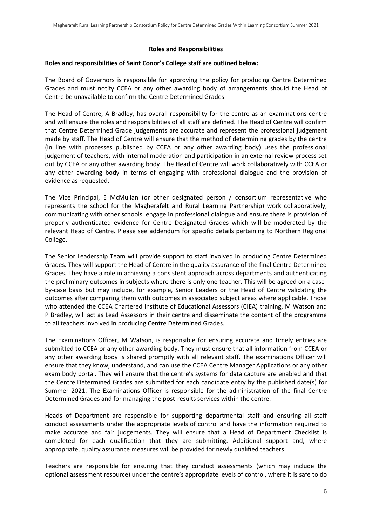#### **Roles and Responsibilities**

#### **Roles and responsibilities of Saint Conor's College staff are outlined below:**

The Board of Governors is responsible for approving the policy for producing Centre Determined Grades and must notify CCEA or any other awarding body of arrangements should the Head of Centre be unavailable to confirm the Centre Determined Grades.

The Head of Centre, A Bradley, has overall responsibility for the centre as an examinations centre and will ensure the roles and responsibilities of all staff are defined. The Head of Centre will confirm that Centre Determined Grade judgements are accurate and represent the professional judgement made by staff. The Head of Centre will ensure that the method of determining grades by the centre (in line with processes published by CCEA or any other awarding body) uses the professional judgement of teachers, with internal moderation and participation in an external review process set out by CCEA or any other awarding body. The Head of Centre will work collaboratively with CCEA or any other awarding body in terms of engaging with professional dialogue and the provision of evidence as requested.

The Vice Principal, E McMullan (or other designated person / consortium representative who represents the school for the Magherafelt and Rural Learning Partnership) work collaboratively, communicating with other schools, engage in professional dialogue and ensure there is provision of properly authenticated evidence for Centre Designated Grades which will be moderated by the relevant Head of Centre. Please see addendum for specific details pertaining to Northern Regional College.

The Senior Leadership Team will provide support to staff involved in producing Centre Determined Grades. They will support the Head of Centre in the quality assurance of the final Centre Determined Grades. They have a role in achieving a consistent approach across departments and authenticating the preliminary outcomes in subjects where there is only one teacher. This will be agreed on a caseby-case basis but may include, for example, Senior Leaders or the Head of Centre validating the outcomes after comparing them with outcomes in associated subject areas where applicable. Those who attended the CCEA Chartered Institute of Educational Assessors (CIEA) training, M Watson and P Bradley, will act as Lead Assessors in their centre and disseminate the content of the programme to all teachers involved in producing Centre Determined Grades.

The Examinations Officer, M Watson, is responsible for ensuring accurate and timely entries are submitted to CCEA or any other awarding body. They must ensure that all information from CCEA or any other awarding body is shared promptly with all relevant staff. The examinations Officer will ensure that they know, understand, and can use the CCEA Centre Manager Applications or any other exam body portal. They will ensure that the centre's systems for data capture are enabled and that the Centre Determined Grades are submitted for each candidate entry by the published date(s) for Summer 2021. The Examinations Officer is responsible for the administration of the final Centre Determined Grades and for managing the post-results services within the centre.

Heads of Department are responsible for supporting departmental staff and ensuring all staff conduct assessments under the appropriate levels of control and have the information required to make accurate and fair judgements. They will ensure that a Head of Department Checklist is completed for each qualification that they are submitting. Additional support and, where appropriate, quality assurance measures will be provided for newly qualified teachers.

Teachers are responsible for ensuring that they conduct assessments (which may include the optional assessment resource) under the centre's appropriate levels of control, where it is safe to do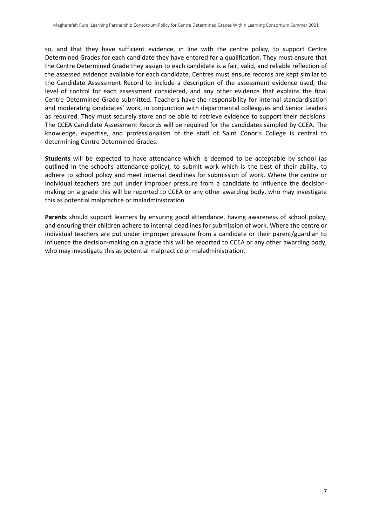so, and that they have sufficient evidence, in line with the centre policy, to support Centre Determined Grades for each candidate they have entered for a qualification. They must ensure that the Centre Determined Grade they assign to each candidate is a fair, valid, and reliable reflection of the assessed evidence available for each candidate. Centres must ensure records are kept similar to the Candidate Assessment Record to include a description of the assessment evidence used, the level of control for each assessment considered, and any other evidence that explains the final Centre Determined Grade submitted. Teachers have the responsibility for internal standardisation and moderating candidates' work, in conjunction with departmental colleagues and Senior Leaders as required. They must securely store and be able to retrieve evidence to support their decisions. The CCEA Candidate Assessment Records will be required for the candidates sampled by CCEA. The knowledge, expertise, and professionalism of the staff of Saint Conor's College is central to determining Centre Determined Grades.

**Students** will be expected to have attendance which is deemed to be acceptable by school (as outlined in the school's attendance policy), to submit work which is the best of their ability, to adhere to school policy and meet internal deadlines for submission of work. Where the centre or individual teachers are put under improper pressure from a candidate to influence the decisionmaking on a grade this will be reported to CCEA or any other awarding body, who may investigate this as potential malpractice or maladministration.

**Parents** should support learners by ensuring good attendance, having awareness of school policy, and ensuring their children adhere to internal deadlines for submission of work. Where the centre or individual teachers are put under improper pressure from a candidate or their parent/guardian to influence the decision-making on a grade this will be reported to CCEA or any other awarding body, who may investigate this as potential malpractice or maladministration.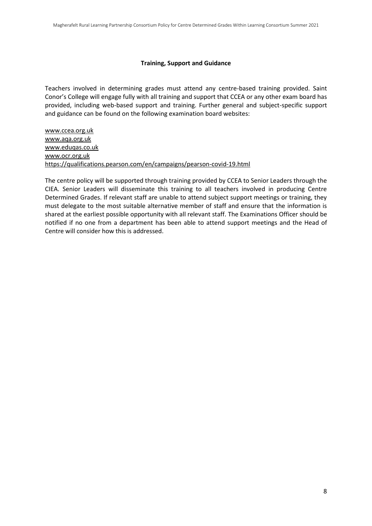#### **Training, Support and Guidance**

Teachers involved in determining grades must attend any centre-based training provided. Saint Conor's College will engage fully with all training and support that CCEA or any other exam board has provided, including web-based support and training. Further general and subject-specific support and guidance can be found on the following examination board websites:

[www.ccea.org.uk](http://www.ccea.org.uk/) [www.aqa.org.uk](http://www.aqa.org.uk/) [www.eduqas.co.uk](http://www.eduqas.co.uk/) www.ocr.org.uk https://qualifications.pearson.com/en/campaigns/pearson-covid-19.html

The centre policy will be supported through training provided by CCEA to Senior Leaders through the CIEA. Senior Leaders will disseminate this training to all teachers involved in producing Centre Determined Grades. If relevant staff are unable to attend subject support meetings or training, they must delegate to the most suitable alternative member of staff and ensure that the information is shared at the earliest possible opportunity with all relevant staff. The Examinations Officer should be notified if no one from a department has been able to attend support meetings and the Head of Centre will consider how this is addressed.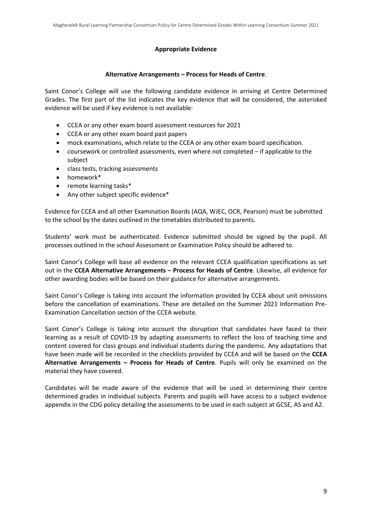#### **Appropriate Evidence**

#### **Alternative Arrangements – Process for Heads of Centre**.

Saint Conor's College will use the following candidate evidence in arriving at Centre Determined Grades. The first part of the list indicates the key evidence that will be considered, the asterisked evidence will be used if key evidence is not available:

- CCEA or any other exam board assessment resources for 2021
- CCEA or any other exam board past papers
- mock examinations, which relate to the CCEA or any other exam board specification.
- coursework or controlled assessments, even where not completed if applicable to the subject
- class tests, tracking assessments
- homework\*
- remote learning tasks\*
- Any other subject specific evidence\*

Evidence for CCEA and all other Examination Boards (AQA, WJEC, OCR, Pearson) must be submitted to the school by the dates outlined in the timetables distributed to parents.

Students' work must be authenticated. Evidence submitted should be signed by the pupil. All processes outlined in the school Assessment or Examination Policy should be adhered to.

Saint Conor's College will base all evidence on the relevant CCEA qualification specifications as set out in the **CCEA Alternative Arrangements – Process for Heads of Centre**. Likewise, all evidence for other awarding bodies will be based on their guidance for alternative arrangements.

Saint Conor's College is taking into account the information provided by CCEA about unit omissions before the cancellation of examinations. These are detailed on the Summer 2021 Information Pre-Examination Cancellation section of the CCEA website.

Saint Conor's College is taking into account the disruption that candidates have faced to their learning as a result of COVID-19 by adapting assessments to reflect the loss of teaching time and content covered for class groups and individual students during the pandemic. Any adaptations that have been made will be recorded in the checklists provided by CCEA and will be based on the **CCEA Alternative Arrangements – Process for Heads of Centre**. Pupils will only be examined on the material they have covered.

Candidates will be made aware of the evidence that will be used in determining their centre determined grades in individual subjects. Parents and pupils will have access to a subject evidence appendix in the CDG policy detailing the assessments to be used in each subject at GCSE, AS and A2.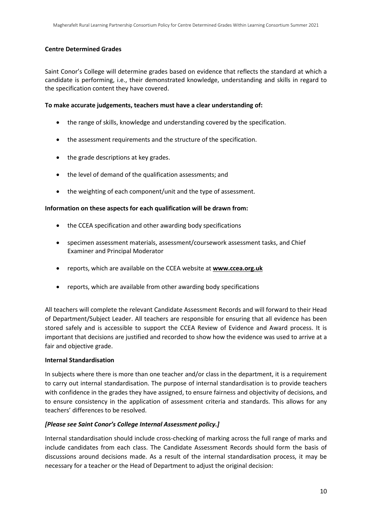#### **Centre Determined Grades**

Saint Conor's College will determine grades based on evidence that reflects the standard at which a candidate is performing, i.e., their demonstrated knowledge, understanding and skills in regard to the specification content they have covered.

#### **To make accurate judgements, teachers must have a clear understanding of:**

- the range of skills, knowledge and understanding covered by the specification.
- the assessment requirements and the structure of the specification.
- the grade descriptions at key grades.
- the level of demand of the qualification assessments; and
- the weighting of each component/unit and the type of assessment.

#### **Information on these aspects for each qualification will be drawn from:**

- the CCEA specification and other awarding body specifications
- specimen assessment materials, assessment/coursework assessment tasks, and Chief Examiner and Principal Moderator
- reports, which are available on the CCEA website at **[www.ccea.org.uk](http://www.ccea.org.uk/)**
- reports, which are available from other awarding body specifications

All teachers will complete the relevant Candidate Assessment Records and will forward to their Head of Department/Subject Leader. All teachers are responsible for ensuring that all evidence has been stored safely and is accessible to support the CCEA Review of Evidence and Award process. It is important that decisions are justified and recorded to show how the evidence was used to arrive at a fair and objective grade.

#### **Internal Standardisation**

In subjects where there is more than one teacher and/or class in the department, it is a requirement to carry out internal standardisation. The purpose of internal standardisation is to provide teachers with confidence in the grades they have assigned, to ensure fairness and objectivity of decisions, and to ensure consistency in the application of assessment criteria and standards. This allows for any teachers' differences to be resolved.

#### *[Please see Saint Conor's College Internal Assessment policy.]*

Internal standardisation should include cross-checking of marking across the full range of marks and include candidates from each class. The Candidate Assessment Records should form the basis of discussions around decisions made. As a result of the internal standardisation process, it may be necessary for a teacher or the Head of Department to adjust the original decision: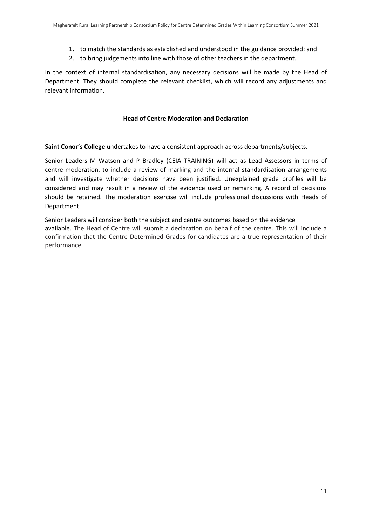- 1. to match the standards as established and understood in the guidance provided; and
- 2. to bring judgements into line with those of other teachers in the department.

In the context of internal standardisation, any necessary decisions will be made by the Head of Department. They should complete the relevant checklist, which will record any adjustments and relevant information.

#### **Head of Centre Moderation and Declaration**

**Saint Conor's College** undertakes to have a consistent approach across departments/subjects.

Senior Leaders M Watson and P Bradley (CEIA TRAINING) will act as Lead Assessors in terms of centre moderation, to include a review of marking and the internal standardisation arrangements and will investigate whether decisions have been justified. Unexplained grade profiles will be considered and may result in a review of the evidence used or remarking. A record of decisions should be retained. The moderation exercise will include professional discussions with Heads of Department.

Senior Leaders will consider both the subject and centre outcomes based on the evidence available. The Head of Centre will submit a declaration on behalf of the centre. This will include a confirmation that the Centre Determined Grades for candidates are a true representation of their performance.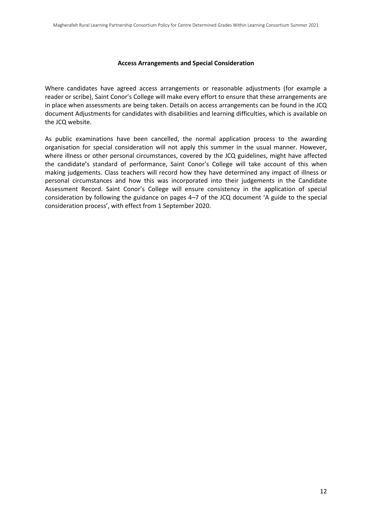#### **Access Arrangements and Special Consideration**

Where candidates have agreed access arrangements or reasonable adjustments (for example a reader or scribe), Saint Conor's College will make every effort to ensure that these arrangements are in place when assessments are being taken. Details on access arrangements can be found in the JCQ document Adjustments for candidates with disabilities and learning difficulties, which is available on the JCQ website.

As public examinations have been cancelled, the normal application process to the awarding organisation for special consideration will not apply this summer in the usual manner. However, where illness or other personal circumstances, covered by the JCQ guidelines, might have affected the candidate's standard of performance, Saint Conor's College will take account of this when making judgements. Class teachers will record how they have determined any impact of illness or personal circumstances and how this was incorporated into their judgements in the Candidate Assessment Record. Saint Conor's College will ensure consistency in the application of special consideration by following the guidance on pages 4–7 of the JCQ document 'A guide to the special consideration process', with effect from 1 September 2020.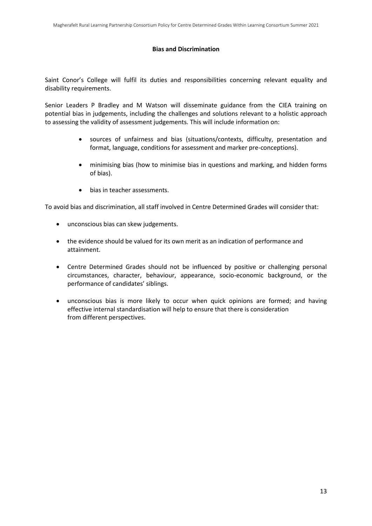#### **Bias and Discrimination**

Saint Conor's College will fulfil its duties and responsibilities concerning relevant equality and disability requirements.

Senior Leaders P Bradley and M Watson will disseminate guidance from the CIEA training on potential bias in judgements, including the challenges and solutions relevant to a holistic approach to assessing the validity of assessment judgements. This will include information on:

- sources of unfairness and bias (situations/contexts, difficulty, presentation and format, language, conditions for assessment and marker pre-conceptions).
- minimising bias (how to minimise bias in questions and marking, and hidden forms of bias).
- bias in teacher assessments.

To avoid bias and discrimination, all staff involved in Centre Determined Grades will consider that:

- unconscious bias can skew judgements.
- the evidence should be valued for its own merit as an indication of performance and attainment.
- Centre Determined Grades should not be influenced by positive or challenging personal circumstances, character, behaviour, appearance, socio-economic background, or the performance of candidates' siblings.
- unconscious bias is more likely to occur when quick opinions are formed; and having effective internal standardisation will help to ensure that there is consideration from different perspectives.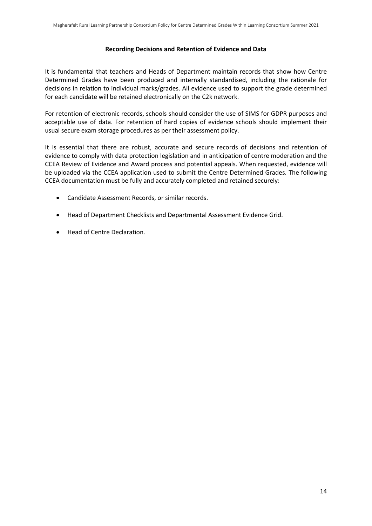#### **Recording Decisions and Retention of Evidence and Data**

It is fundamental that teachers and Heads of Department maintain records that show how Centre Determined Grades have been produced and internally standardised, including the rationale for decisions in relation to individual marks/grades. All evidence used to support the grade determined for each candidate will be retained electronically on the C2k network.

For retention of electronic records, schools should consider the use of SIMS for GDPR purposes and acceptable use of data. For retention of hard copies of evidence schools should implement their usual secure exam storage procedures as per their assessment policy.

It is essential that there are robust, accurate and secure records of decisions and retention of evidence to comply with data protection legislation and in anticipation of centre moderation and the CCEA Review of Evidence and Award process and potential appeals. When requested, evidence will be uploaded via the CCEA application used to submit the Centre Determined Grades. The following CCEA documentation must be fully and accurately completed and retained securely:

- Candidate Assessment Records, or similar records.
- Head of Department Checklists and Departmental Assessment Evidence Grid.
- Head of Centre Declaration.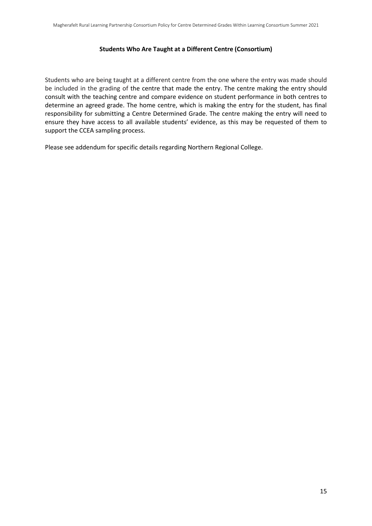#### **Students Who Are Taught at a Different Centre (Consortium)**

Students who are being taught at a different centre from the one where the entry was made should be included in the grading of the centre that made the entry. The centre making the entry should consult with the teaching centre and compare evidence on student performance in both centres to determine an agreed grade. The home centre, which is making the entry for the student, has final responsibility for submitting a Centre Determined Grade. The centre making the entry will need to ensure they have access to all available students' evidence, as this may be requested of them to support the CCEA sampling process.

Please see addendum for specific details regarding Northern Regional College.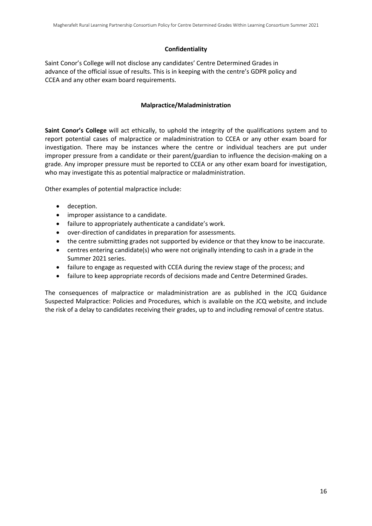#### **Confidentiality**

Saint Conor's College will not disclose any candidates' Centre Determined Grades in advance of the official issue of results. This is in keeping with the centre's GDPR policy and CCEA and any other exam board requirements.

#### **Malpractice/Maladministration**

**Saint Conor's College** will act ethically, to uphold the integrity of the qualifications system and to report potential cases of malpractice or maladministration to CCEA or any other exam board for investigation. There may be instances where the centre or individual teachers are put under improper pressure from a candidate or their parent/guardian to influence the decision-making on a grade. Any improper pressure must be reported to CCEA or any other exam board for investigation, who may investigate this as potential malpractice or maladministration.

Other examples of potential malpractice include:

- deception.
- improper assistance to a candidate.
- failure to appropriately authenticate a candidate's work.
- over-direction of candidates in preparation for assessments.
- the centre submitting grades not supported by evidence or that they know to be inaccurate.
- centres entering candidate(s) who were not originally intending to cash in a grade in the Summer 2021 series.
- failure to engage as requested with CCEA during the review stage of the process; and
- failure to keep appropriate records of decisions made and Centre Determined Grades.

The consequences of malpractice or maladministration are as published in the JCQ Guidance Suspected Malpractice: Policies and Procedures*,* which is available on the JCQ website, and include the risk of a delay to candidates receiving their grades, up to and including removal of centre status.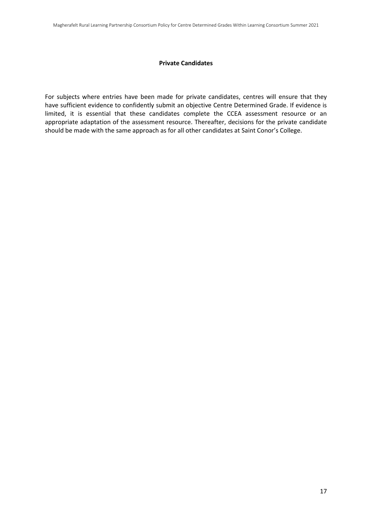#### **Private Candidates**

For subjects where entries have been made for private candidates, centres will ensure that they have sufficient evidence to confidently submit an objective Centre Determined Grade. If evidence is limited, it is essential that these candidates complete the CCEA assessment resource or an appropriate adaptation of the assessment resource. Thereafter, decisions for the private candidate should be made with the same approach as for all other candidates at Saint Conor's College.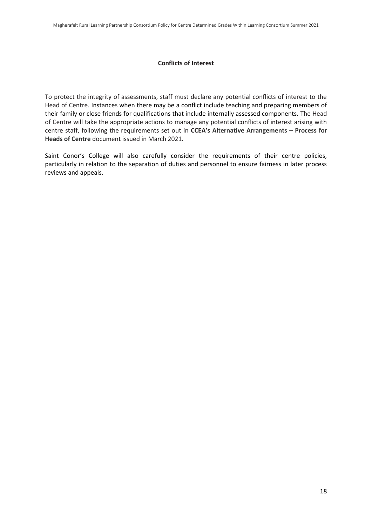#### **Conflicts of Interest**

To protect the integrity of assessments, staff must declare any potential conflicts of interest to the Head of Centre. Instances when there may be a conflict include teaching and preparing members of their family or close friends for qualifications that include internally assessed components. The Head of Centre will take the appropriate actions to manage any potential conflicts of interest arising with centre staff, following the requirements set out in **CCEA's Alternative Arrangements – Process for Heads of Centre** document issued in March 2021.

Saint Conor's College will also carefully consider the requirements of their centre policies, particularly in relation to the separation of duties and personnel to ensure fairness in later process reviews and appeals.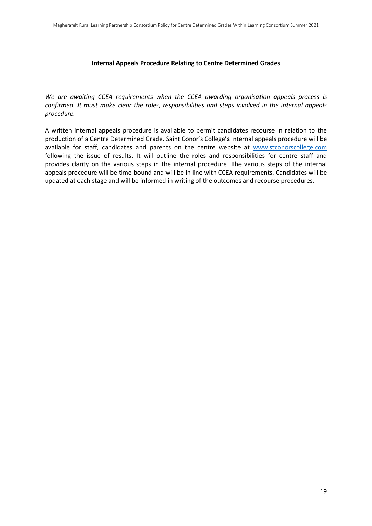#### **Internal Appeals Procedure Relating to Centre Determined Grades**

*We are awaiting CCEA requirements when the CCEA awarding organisation appeals process is confirmed. It must make clear the roles, responsibilities and steps involved in the internal appeals procedure.* 

A written internal appeals procedure is available to permit candidates recourse in relation to the production of a Centre Determined Grade. Saint Conor's College**'s** internal appeals procedure will be available for staff, candidates and parents on the centre website at [www.stconorscollege.com](http://www.stconorscollege.com/) following the issue of results. It will outline the roles and responsibilities for centre staff and provides clarity on the various steps in the internal procedure. The various steps of the internal appeals procedure will be time-bound and will be in line with CCEA requirements. Candidates will be updated at each stage and will be informed in writing of the outcomes and recourse procedures.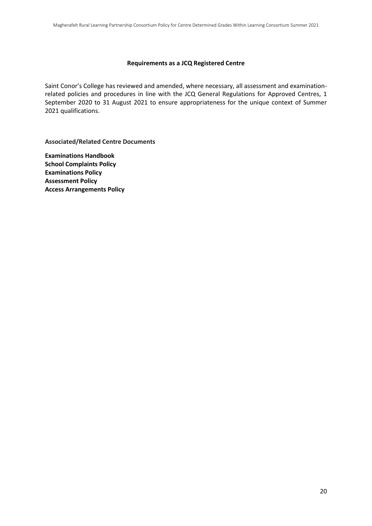#### **Requirements as a JCQ Registered Centre**

Saint Conor's College has reviewed and amended, where necessary, all assessment and examinationrelated policies and procedures in line with the JCQ General Regulations for Approved Centres, 1 September 2020 to 31 August 2021 to ensure appropriateness for the unique context of Summer 2021 qualifications.

**Associated/Related Centre Documents**

**Examinations Handbook School Complaints Policy Examinations Policy Assessment Policy Access Arrangements Policy**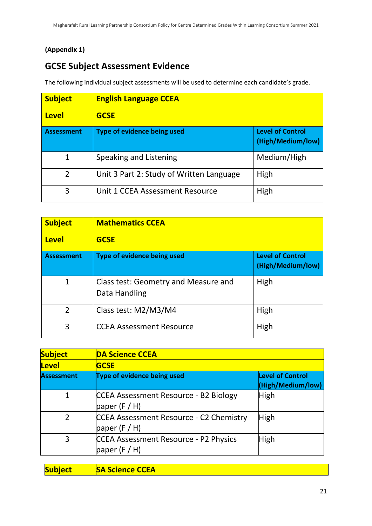# **(Appendix 1)**

# **GCSE Subject Assessment Evidence**

The following individual subject assessments will be used to determine each candidate's grade.

| <b>Subject</b>    | <b>English Language CCEA</b>             |                                              |
|-------------------|------------------------------------------|----------------------------------------------|
| <b>Level</b>      | <b>GCSE</b>                              |                                              |
| <b>Assessment</b> | Type of evidence being used              | <b>Level of Control</b><br>(High/Medium/low) |
| 1                 | Speaking and Listening                   | Medium/High                                  |
| $\overline{2}$    | Unit 3 Part 2: Study of Written Language | High                                         |
| 3                 | Unit 1 CCEA Assessment Resource          | High                                         |

| <b>Subject</b>    | <b>Mathematics CCEA</b>                               |                                              |
|-------------------|-------------------------------------------------------|----------------------------------------------|
| <b>Level</b>      | <b>GCSE</b>                                           |                                              |
| <b>Assessment</b> | <b>Type of evidence being used</b>                    | <b>Level of Control</b><br>(High/Medium/low) |
| 1                 | Class test: Geometry and Measure and<br>Data Handling | High                                         |
| $\overline{2}$    | Class test: M2/M3/M4                                  | High                                         |
| 3                 | <b>CCEA Assessment Resource</b>                       | High                                         |

| <b>Subject</b>    | <b>DA Science CCEA</b>                                        |                                              |
|-------------------|---------------------------------------------------------------|----------------------------------------------|
| <b>Level</b>      | <b>GCSE</b>                                                   |                                              |
| <b>Assessment</b> | Type of evidence being used                                   | <b>Level of Control</b><br>(High/Medium/low) |
| 1                 | CCEA Assessment Resource - B2 Biology<br>paper $(F/H)$        | High                                         |
| $\mathfrak{D}$    | CCEA Assessment Resource - C2 Chemistry<br>paper $(F/H)$      | High                                         |
| 3                 | <b>CCEA Assessment Resource - P2 Physics</b><br>paper $(F/H)$ | <b>High</b>                                  |

| <b>Subject</b> | <b>SA Science CCEA</b> |
|----------------|------------------------|
|                |                        |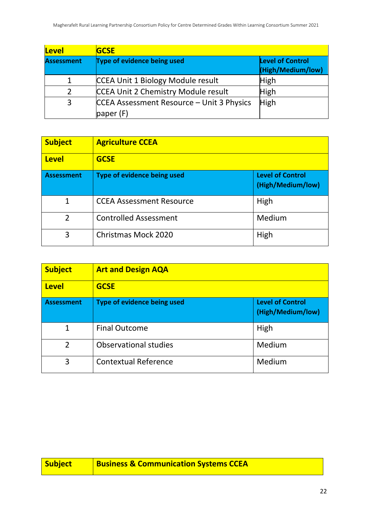| Level             | <b>GCSE</b>                                            |                                              |
|-------------------|--------------------------------------------------------|----------------------------------------------|
| <b>Assessment</b> | Type of evidence being used                            | <b>Level of Control</b><br>(High/Medium/low) |
| 1                 | CCEA Unit 1 Biology Module result                      | <b>High</b>                                  |
| 2                 | <b>CCEA Unit 2 Chemistry Module result</b>             | <b>High</b>                                  |
| 3                 | CCEA Assessment Resource - Unit 3 Physics<br>paper (F) | High                                         |

| <b>Subject</b>    | <b>Agriculture CCEA</b>            |                                              |
|-------------------|------------------------------------|----------------------------------------------|
| <b>Level</b>      | <b>GCSE</b>                        |                                              |
| <b>Assessment</b> | <b>Type of evidence being used</b> | <b>Level of Control</b><br>(High/Medium/low) |
| 1                 | <b>CCEA Assessment Resource</b>    | High                                         |
| $\overline{2}$    | <b>Controlled Assessment</b>       | Medium                                       |
| 3                 | <b>Christmas Mock 2020</b>         | High                                         |

| <b>Subject</b>    | <b>Art and Design AQA</b>          |                                              |
|-------------------|------------------------------------|----------------------------------------------|
| <b>Level</b>      | <b>GCSE</b>                        |                                              |
| <b>Assessment</b> | <b>Type of evidence being used</b> | <b>Level of Control</b><br>(High/Medium/low) |
| $\mathbf{1}$      | <b>Final Outcome</b>               | High                                         |
| $\overline{2}$    | <b>Observational studies</b>       | Medium                                       |
| 3                 | <b>Contextual Reference</b>        | Medium                                       |

| Subject | <b>Business &amp; Communication Systems CCEA</b> |
|---------|--------------------------------------------------|
|         |                                                  |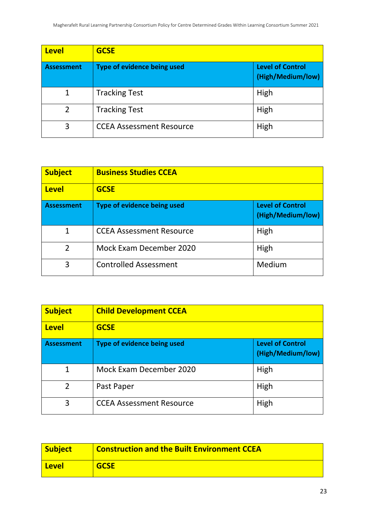| <b>Level</b>      | <b>GCSE</b>                     |                                              |
|-------------------|---------------------------------|----------------------------------------------|
| <b>Assessment</b> | Type of evidence being used     | <b>Level of Control</b><br>(High/Medium/low) |
| $\mathbf{1}$      | <b>Tracking Test</b>            | High                                         |
| $\overline{2}$    | <b>Tracking Test</b>            | High                                         |
| 3                 | <b>CCEA Assessment Resource</b> | High                                         |

| <b>Subject</b>    | <b>Business Studies CCEA</b>       |                                              |
|-------------------|------------------------------------|----------------------------------------------|
| <b>Level</b>      | <b>GCSE</b>                        |                                              |
| <b>Assessment</b> | <b>Type of evidence being used</b> | <b>Level of Control</b><br>(High/Medium/low) |
| $\mathbf 1$       | <b>CCEA Assessment Resource</b>    | High                                         |
| $\overline{2}$    | Mock Exam December 2020            | High                                         |
| 3                 | <b>Controlled Assessment</b>       | Medium                                       |

| <b>Subject</b>    | <b>Child Development CCEA</b>   |                                              |
|-------------------|---------------------------------|----------------------------------------------|
| <b>Level</b>      | <b>GCSE</b>                     |                                              |
| <b>Assessment</b> | Type of evidence being used     | <b>Level of Control</b><br>(High/Medium/low) |
| $\mathbf{1}$      | Mock Exam December 2020         | High                                         |
| $\overline{2}$    | Past Paper                      | High                                         |
| 3                 | <b>CCEA Assessment Resource</b> | High                                         |

| <b>Subject</b> | <b>Construction and the Built Environment CCEA</b> |
|----------------|----------------------------------------------------|
| <b>Level</b>   | <b>GCSE</b>                                        |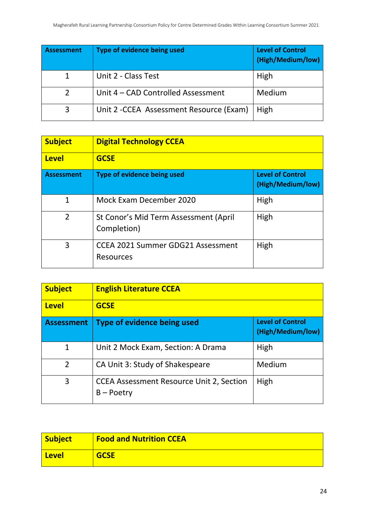| <b>Assessment</b> | Type of evidence being used              | <b>Level of Control</b><br>(High/Medium/low) |
|-------------------|------------------------------------------|----------------------------------------------|
|                   | Unit 2 - Class Test                      | High                                         |
| 2                 | Unit 4 – CAD Controlled Assessment       | Medium                                       |
| 3                 | Unit 2 - CCEA Assessment Resource (Exam) | High                                         |

| <b>Subject</b>    | <b>Digital Technology CCEA</b>                               |                                              |
|-------------------|--------------------------------------------------------------|----------------------------------------------|
| <b>Level</b>      | <b>GCSE</b>                                                  |                                              |
| <b>Assessment</b> | Type of evidence being used                                  | <b>Level of Control</b><br>(High/Medium/low) |
| 1                 | Mock Exam December 2020                                      | High                                         |
| $\overline{2}$    | St Conor's Mid Term Assessment (April<br>Completion)         | High                                         |
| 3                 | <b>CCEA 2021 Summer GDG21 Assessment</b><br><b>Resources</b> | High                                         |

| <b>Subject</b>    | <b>English Literature CCEA</b>                                  |                                              |
|-------------------|-----------------------------------------------------------------|----------------------------------------------|
| <b>Level</b>      | <b>GCSE</b>                                                     |                                              |
| <b>Assessment</b> | Type of evidence being used                                     | <b>Level of Control</b><br>(High/Medium/low) |
| $\mathbf{1}$      | Unit 2 Mock Exam, Section: A Drama                              | High                                         |
| $\overline{2}$    | CA Unit 3: Study of Shakespeare                                 | Medium                                       |
| 3                 | <b>CCEA Assessment Resource Unit 2, Section</b><br>$B - Poetry$ | High                                         |

| <b>Subject</b> | <b>Food and Nutrition CCEA</b> |
|----------------|--------------------------------|
| <u>  Level</u> | <b>GCSE</b>                    |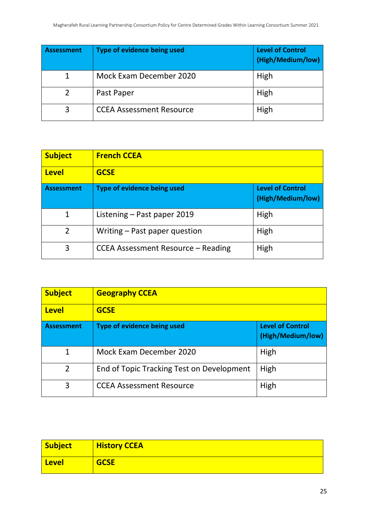| <b>Assessment</b> | Type of evidence being used     | <b>Level of Control</b><br>(High/Medium/low) |
|-------------------|---------------------------------|----------------------------------------------|
|                   | Mock Exam December 2020         | High                                         |
|                   | Past Paper                      | High                                         |
| 3                 | <b>CCEA Assessment Resource</b> | High                                         |

| <b>Subject</b>    | <b>French CCEA</b>                                                                 |      |
|-------------------|------------------------------------------------------------------------------------|------|
| <b>Level</b>      | <b>GCSE</b>                                                                        |      |
| <b>Assessment</b> | <b>Level of Control</b><br><b>Type of evidence being used</b><br>(High/Medium/low) |      |
| $\mathbf{1}$      | Listening - Past paper 2019                                                        | High |
| $\overline{2}$    | Writing – Past paper question                                                      | High |
| 3                 | CCEA Assessment Resource – Reading                                                 | High |

| <b>Subject</b>    | <b>Geography CCEA</b>                                                              |      |
|-------------------|------------------------------------------------------------------------------------|------|
| <b>Level</b>      | <b>GCSE</b>                                                                        |      |
| <b>Assessment</b> | <b>Level of Control</b><br><b>Type of evidence being used</b><br>(High/Medium/low) |      |
| $\mathbf{1}$      | Mock Exam December 2020                                                            | High |
| $\overline{2}$    | End of Topic Tracking Test on Development                                          | High |
| 3                 | <b>CCEA Assessment Resource</b>                                                    | High |

| <b>Subject</b> | <b>History CCEA</b> |
|----------------|---------------------|
| <b>Level</b>   | <b>GCSE</b>         |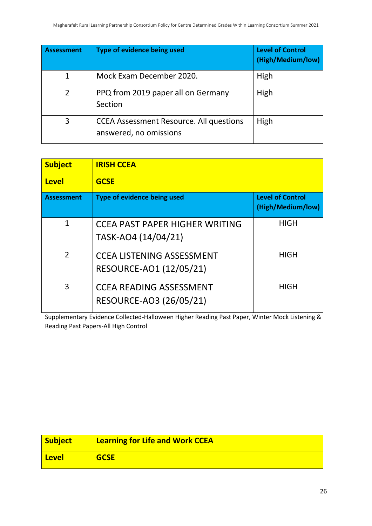| <b>Assessment</b> | <b>Type of evidence being used</b>                                       | <b>Level of Control</b><br>(High/Medium/low) |
|-------------------|--------------------------------------------------------------------------|----------------------------------------------|
| 1                 | Mock Exam December 2020.                                                 | High                                         |
| $\overline{2}$    | PPQ from 2019 paper all on Germany<br>Section                            | High                                         |
| 3                 | <b>CCEA Assessment Resource. All questions</b><br>answered, no omissions | High                                         |

| <b>Subject</b>    | <b>IRISH CCEA</b>                                            |                                              |
|-------------------|--------------------------------------------------------------|----------------------------------------------|
| <b>Level</b>      | <b>GCSE</b>                                                  |                                              |
| <b>Assessment</b> | Type of evidence being used                                  | <b>Level of Control</b><br>(High/Medium/low) |
| $\mathbf{1}$      | <b>CCEA PAST PAPER HIGHER WRITING</b><br>TASK-AO4 (14/04/21) | <b>HIGH</b>                                  |
| $\mathcal{P}$     | <b>CCEA LISTENING ASSESSMENT</b><br>RESOURCE-AO1 (12/05/21)  | HIGH                                         |
| 3                 | <b>CCEA READING ASSESSMENT</b><br>RESOURCE-AO3 (26/05/21)    | HIGH                                         |

Supplementary Evidence Collected-Halloween Higher Reading Past Paper, Winter Mock Listening & Reading Past Papers-All High Control

| <b>Subject</b> | <b>Learning for Life and Work CCEA</b> |
|----------------|----------------------------------------|
| <b>Level</b>   | <b>GCSE</b>                            |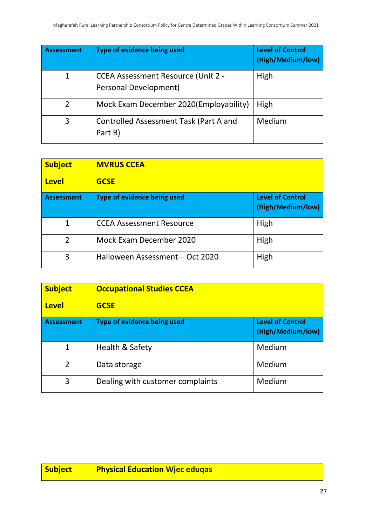| <b>Assessment</b> | Type of evidence being used                                        | <b>Level of Control</b><br>(High/Medium/low) |
|-------------------|--------------------------------------------------------------------|----------------------------------------------|
| 1                 | <b>CCEA Assessment Resource (Unit 2 -</b><br>Personal Development) | High                                         |
| 2                 | Mock Exam December 2020(Employability)                             | High                                         |
| 3                 | Controlled Assessment Task (Part A and<br>Part B)                  | Medium                                       |

| <b>Subject</b>    | <b>MVRUS CCEA</b>               |                                              |
|-------------------|---------------------------------|----------------------------------------------|
| <b>Level</b>      | <b>GCSE</b>                     |                                              |
| <b>Assessment</b> | Type of evidence being used     | <b>Level of Control</b><br>(High/Medium/low) |
| 1                 | <b>CCEA Assessment Resource</b> | High                                         |
| $\overline{2}$    | Mock Exam December 2020         | High                                         |
| 3                 | Halloween Assessment - Oct 2020 | High                                         |

| <b>Subject</b>    | <b>Occupational Studies CCEA</b> |                                              |
|-------------------|----------------------------------|----------------------------------------------|
| <b>Level</b>      | <b>GCSE</b>                      |                                              |
| <b>Assessment</b> | Type of evidence being used      | <b>Level of Control</b><br>(High/Medium/low) |
| $\mathbf{1}$      | Health & Safety                  | Medium                                       |
| $\overline{2}$    | Data storage                     | Medium                                       |
| 3                 | Dealing with customer complaints | Medium                                       |

| <b>Subject</b> | Physical Education Wjec eduqas l |
|----------------|----------------------------------|
|                |                                  |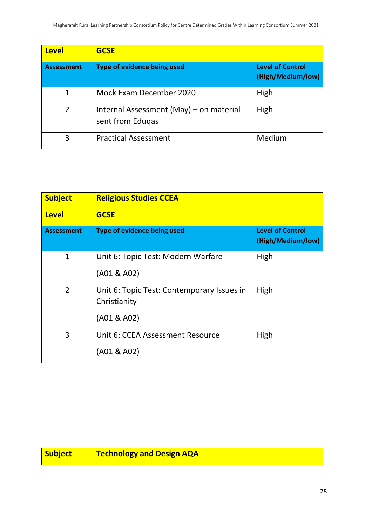| <b>Level</b>      | <b>GCSE</b>                                                 |                                              |
|-------------------|-------------------------------------------------------------|----------------------------------------------|
| <b>Assessment</b> | Type of evidence being used                                 | <b>Level of Control</b><br>(High/Medium/low) |
| 1                 | Mock Exam December 2020                                     | High                                         |
| $\overline{2}$    | Internal Assessment (May) – on material<br>sent from Edugas | High                                         |
| 3                 | <b>Practical Assessment</b>                                 | Medium                                       |

| <b>Subject</b>    | <b>Religious Studies CCEA</b>                                             |                                              |
|-------------------|---------------------------------------------------------------------------|----------------------------------------------|
| <b>Level</b>      | <b>GCSE</b>                                                               |                                              |
| <b>Assessment</b> | Type of evidence being used                                               | <b>Level of Control</b><br>(High/Medium/low) |
| $\mathbf{1}$      | Unit 6: Topic Test: Modern Warfare<br>(A01 & A02)                         | High                                         |
| $\overline{2}$    | Unit 6: Topic Test: Contemporary Issues in<br>Christianity<br>(A01 & A02) | High                                         |
| 3                 | Unit 6: CCEA Assessment Resource<br>(A01 & A02)                           | High                                         |

| <b>Subject</b> | <b>Technology and Design AQA</b> |
|----------------|----------------------------------|
|----------------|----------------------------------|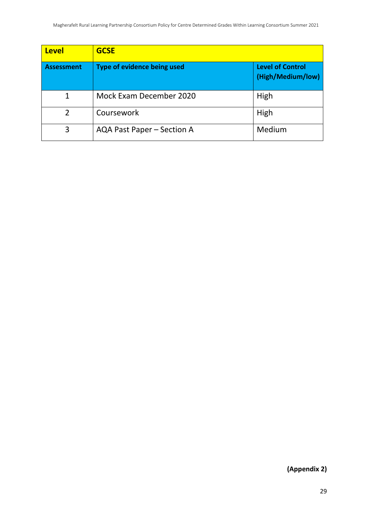| <b>Level</b>      | <b>GCSE</b>                        |                                              |
|-------------------|------------------------------------|----------------------------------------------|
| <b>Assessment</b> | <b>Type of evidence being used</b> | <b>Level of Control</b><br>(High/Medium/low) |
| 1                 | Mock Exam December 2020            | High                                         |
| $\overline{2}$    | Coursework                         | High                                         |
| 3                 | AQA Past Paper - Section A         | Medium                                       |

**(Appendix 2)**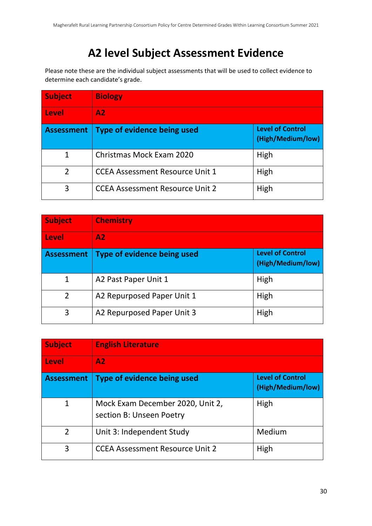# **A2 level Subject Assessment Evidence**

Please note these are the individual subject assessments that will be used to collect evidence to determine each candidate's grade.

| <b>Subject</b>    | <b>Biology</b>                         |                                              |
|-------------------|----------------------------------------|----------------------------------------------|
| Level             | A2.                                    |                                              |
| <b>Assessment</b> | <b>Type of evidence being used</b>     | <b>Level of Control</b><br>(High/Medium/low) |
| 1                 | Christmas Mock Exam 2020               | High                                         |
| $\mathfrak{D}$    | <b>CCEA Assessment Resource Unit 1</b> | High                                         |
| 3                 | <b>CCEA Assessment Resource Unit 2</b> | High                                         |

| <b>Subject</b>    | <b>Chemistry</b>                   |                                              |
|-------------------|------------------------------------|----------------------------------------------|
| <b>Level</b>      | A2                                 |                                              |
| <b>Assessment</b> | <b>Type of evidence being used</b> | <b>Level of Control</b><br>(High/Medium/low) |
| 1                 | A2 Past Paper Unit 1               | High                                         |
| $\overline{2}$    | A2 Repurposed Paper Unit 1         | High                                         |
| 3                 | A2 Repurposed Paper Unit 3         | High                                         |

| <b>Subject</b>    | <b>English Literature</b>                                    |                                              |
|-------------------|--------------------------------------------------------------|----------------------------------------------|
| Level             | A2.                                                          |                                              |
| <b>Assessment</b> | Type of evidence being used                                  | <b>Level of Control</b><br>(High/Medium/low) |
| 1                 | Mock Exam December 2020, Unit 2,<br>section B: Unseen Poetry | High                                         |
| $\overline{2}$    | Unit 3: Independent Study                                    | Medium                                       |
| 3                 | <b>CCEA Assessment Resource Unit 2</b>                       | High                                         |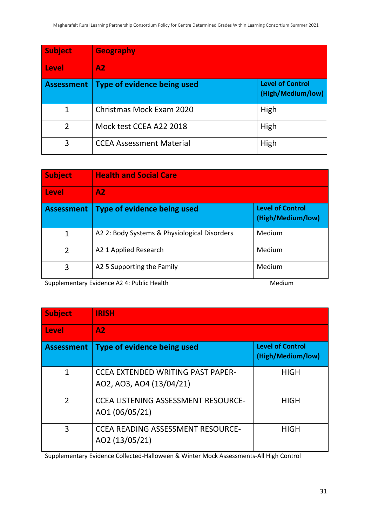| <b>Subject</b>    | <b>Geography</b>                |                                              |
|-------------------|---------------------------------|----------------------------------------------|
| Level             | A2                              |                                              |
| <b>Assessment</b> | Type of evidence being used     | <b>Level of Control</b><br>(High/Medium/low) |
| 1                 | Christmas Mock Exam 2020        | High                                         |
| $\overline{2}$    | Mock test CCEA A22 2018         | High                                         |
| 3                 | <b>CCEA Assessment Material</b> | High                                         |

| <b>Subject</b>    | <b>Health and Social Care</b>                |                                              |
|-------------------|----------------------------------------------|----------------------------------------------|
| Level             | A2                                           |                                              |
| <b>Assessment</b> | <b>Type of evidence being used</b>           | <b>Level of Control</b><br>(High/Medium/low) |
| $\mathbf 1$       | A2 2: Body Systems & Physiological Disorders | Medium                                       |
| $\overline{2}$    | A2 1 Applied Research                        | Medium                                       |
| 3                 | A2 5 Supporting the Family                   | Medium                                       |

Supplementary Evidence A2 4: Public Health Medium

| <b>Subject</b>    | <b>IRISH</b>                                                         |                                              |
|-------------------|----------------------------------------------------------------------|----------------------------------------------|
| <b>Level</b>      | A2                                                                   |                                              |
| <b>Assessment</b> | Type of evidence being used                                          | <b>Level of Control</b><br>(High/Medium/low) |
| 1                 | <b>CCEA EXTENDED WRITING PAST PAPER-</b><br>AO2, AO3, AO4 (13/04/21) | <b>HIGH</b>                                  |
| $\overline{2}$    | <b>CCEA LISTENING ASSESSMENT RESOURCE-</b><br>AO1 (06/05/21)         | <b>HIGH</b>                                  |
| 3                 | <b>CCEA READING ASSESSMENT RESOURCE-</b><br>AO2 (13/05/21)           | <b>HIGH</b>                                  |

Supplementary Evidence Collected-Halloween & Winter Mock Assessments-All High Control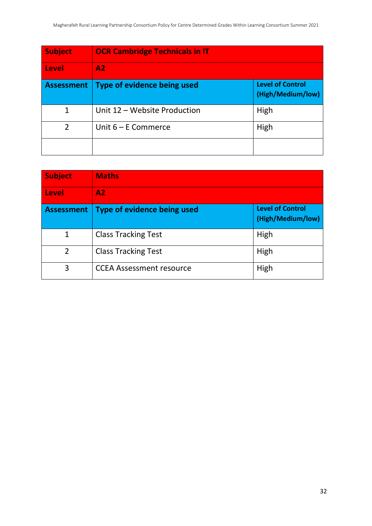| <b>Subject</b>    | <b>OCR Cambridge Technicals in IT</b> |                                              |
|-------------------|---------------------------------------|----------------------------------------------|
| Level             | A2                                    |                                              |
| <b>Assessment</b> | <b>Type of evidence being used</b>    | <b>Level of Control</b><br>(High/Medium/low) |
| 1                 | Unit 12 - Website Production          | High                                         |
| $\overline{2}$    | Unit $6 - E$ Commerce                 | High                                         |
|                   |                                       |                                              |

| <b>Subject</b>    | <b>Maths</b>                    |                                              |
|-------------------|---------------------------------|----------------------------------------------|
| Level             | A2.                             |                                              |
| <b>Assessment</b> | Type of evidence being used     | <b>Level of Control</b><br>(High/Medium/low) |
| 1                 | <b>Class Tracking Test</b>      | High                                         |
| $\overline{2}$    | <b>Class Tracking Test</b>      | High                                         |
| 3                 | <b>CCEA Assessment resource</b> | High                                         |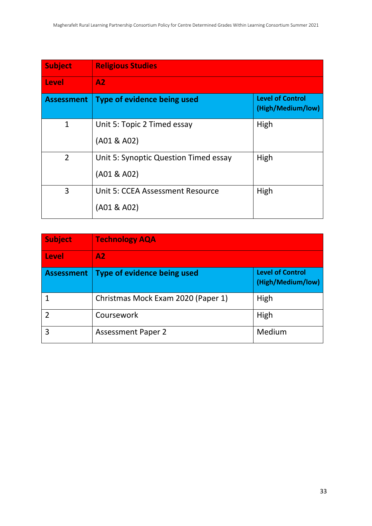| <b>Subject</b>    | <b>Religious Studies</b>                             |                                              |
|-------------------|------------------------------------------------------|----------------------------------------------|
| <b>Level</b>      | A2                                                   |                                              |
| <b>Assessment</b> | Type of evidence being used                          | <b>Level of Control</b><br>(High/Medium/low) |
| $\mathbf{1}$      | Unit 5: Topic 2 Timed essay                          | High                                         |
|                   | (A01 & A02)                                          |                                              |
| 2                 | Unit 5: Synoptic Question Timed essay<br>(A01 & A02) | High                                         |
| 3                 | Unit 5: CCEA Assessment Resource                     | High                                         |
|                   | (A01 & A02)                                          |                                              |

| <b>Subject</b>    | <b>Technology AQA</b>              |                                              |
|-------------------|------------------------------------|----------------------------------------------|
| <b>Level</b>      | A2                                 |                                              |
| <b>Assessment</b> | Type of evidence being used        | <b>Level of Control</b><br>(High/Medium/low) |
|                   | Christmas Mock Exam 2020 (Paper 1) | High                                         |
|                   | Coursework                         | High                                         |
| 3                 | <b>Assessment Paper 2</b>          | Medium                                       |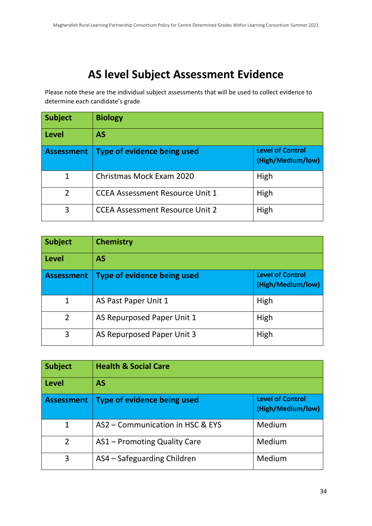# **AS level Subject Assessment Evidence**

Please note these are the individual subject assessments that will be used to collect evidence to determine each candidate's grade

| <b>Subject</b>    | <b>Biology</b>                         |                                              |
|-------------------|----------------------------------------|----------------------------------------------|
| <b>Level</b>      | <b>AS</b>                              |                                              |
| <b>Assessment</b> | Type of evidence being used            | <b>Level of Control</b><br>(High/Medium/low) |
| $\mathbf{1}$      | Christmas Mock Exam 2020               | High                                         |
| $\mathfrak{p}$    | <b>CCEA Assessment Resource Unit 1</b> | High                                         |
| 3                 | <b>CCEA Assessment Resource Unit 2</b> | High                                         |

| <b>Subject</b>    | <b>Chemistry</b>                   |                                              |
|-------------------|------------------------------------|----------------------------------------------|
| <b>Level</b>      | <b>AS</b>                          |                                              |
| <b>Assessment</b> | <b>Type of evidence being used</b> | <b>Level of Control</b><br>(High/Medium/low) |
| $\mathbf{1}$      | AS Past Paper Unit 1               | High                                         |
| $\overline{2}$    | AS Repurposed Paper Unit 1         | High                                         |
| 3                 | AS Repurposed Paper Unit 3         | High                                         |

| <b>Subject</b>    | <b>Health &amp; Social Care</b>  |                                              |
|-------------------|----------------------------------|----------------------------------------------|
| <b>Level</b>      | <b>AS</b>                        |                                              |
| <b>Assessment</b> | Type of evidence being used      | <b>Level of Control</b><br>(High/Medium/low) |
| $\mathbf{1}$      | AS2 - Communication in HSC & EYS | Medium                                       |
| $\overline{2}$    | AS1 – Promoting Quality Care     | Medium                                       |
| 3                 | AS4 - Safeguarding Children      | Medium                                       |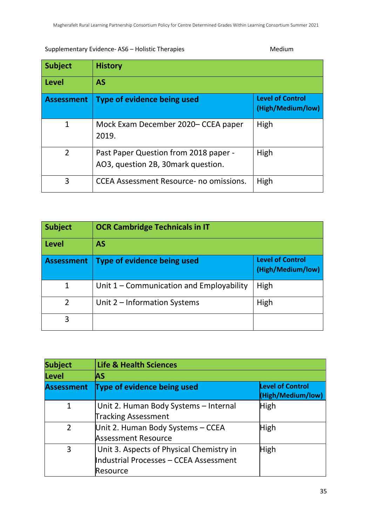# Supplementary Evidence- AS6 – Holistic Therapies Medium

| <b>Subject</b>    | <b>History</b>                                                              |                                              |
|-------------------|-----------------------------------------------------------------------------|----------------------------------------------|
| <b>Level</b>      | <b>AS</b>                                                                   |                                              |
| <b>Assessment</b> | Type of evidence being used                                                 | <b>Level of Control</b><br>(High/Medium/low) |
| 1                 | Mock Exam December 2020– CCEA paper<br>2019.                                | High                                         |
| $\overline{2}$    | Past Paper Question from 2018 paper -<br>AO3, question 2B, 30mark question. | High                                         |
| 3                 | <b>CCEA Assessment Resource- no omissions.</b>                              | High                                         |

| <b>Subject</b>    | <b>OCR Cambridge Technicals in IT</b>      |                                              |
|-------------------|--------------------------------------------|----------------------------------------------|
| Level             | AS                                         |                                              |
| <b>Assessment</b> | Type of evidence being used                | <b>Level of Control</b><br>(High/Medium/low) |
| 1                 | Unit $1$ – Communication and Employability | High                                         |
| $\overline{2}$    | Unit 2 – Information Systems               | High                                         |
| 3                 |                                            |                                              |

| <b>Subject</b>    | <b>Life &amp; Health Sciences</b><br><b>AS</b> |                                              |
|-------------------|------------------------------------------------|----------------------------------------------|
| <b>Level</b>      |                                                |                                              |
| <b>Assessment</b> | <b>Type of evidence being used</b>             | <b>Level of Control</b><br>(High/Medium/low) |
| $\mathbf{1}$      | Unit 2. Human Body Systems - Internal          | High                                         |
|                   | <b>Tracking Assessment</b>                     |                                              |
| $\overline{2}$    | Unit 2. Human Body Systems - CCEA              | <b>High</b>                                  |
|                   | <b>Assessment Resource</b>                     |                                              |
| 3                 | Unit 3. Aspects of Physical Chemistry in       | <b>High</b>                                  |
|                   | Industrial Processes - CCEA Assessment         |                                              |
|                   | Resource                                       |                                              |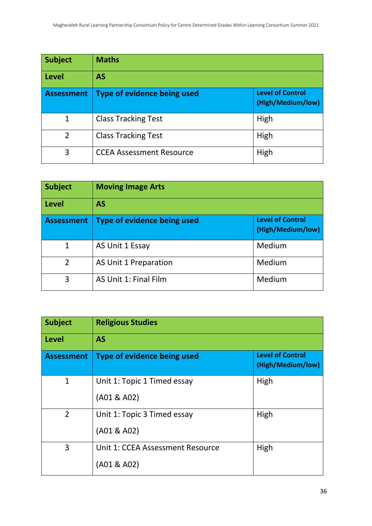| <b>Subject</b>    | <b>Maths</b>                       |                                              |
|-------------------|------------------------------------|----------------------------------------------|
| Level             | AS                                 |                                              |
| <b>Assessment</b> | <b>Type of evidence being used</b> | <b>Level of Control</b><br>(High/Medium/low) |
| 1                 | <b>Class Tracking Test</b>         | High                                         |
| $\overline{2}$    | <b>Class Tracking Test</b>         | High                                         |
| 3                 | <b>CCEA Assessment Resource</b>    | High                                         |

| <b>Subject</b>    | <b>Moving Image Arts</b>    |                                              |
|-------------------|-----------------------------|----------------------------------------------|
| <b>Level</b>      | <b>AS</b>                   |                                              |
| <b>Assessment</b> | Type of evidence being used | <b>Level of Control</b><br>(High/Medium/low) |
| $\mathbf{1}$      | AS Unit 1 Essay             | Medium                                       |
| $\overline{2}$    | AS Unit 1 Preparation       | Medium                                       |
| 3                 | AS Unit 1: Final Film       | Medium                                       |

| <b>Subject</b>    | <b>Religious Studies</b>         |                                              |  |
|-------------------|----------------------------------|----------------------------------------------|--|
| <b>Level</b>      | <b>AS</b>                        |                                              |  |
| <b>Assessment</b> | Type of evidence being used      | <b>Level of Control</b><br>(High/Medium/low) |  |
| $\mathbf{1}$      | Unit 1: Topic 1 Timed essay      | High                                         |  |
|                   | (A01 & A02)                      |                                              |  |
| $\overline{2}$    | Unit 1: Topic 3 Timed essay      | High                                         |  |
|                   | (A01 & A02)                      |                                              |  |
| 3                 | Unit 1: CCEA Assessment Resource | High                                         |  |
|                   | (A01 & A02)                      |                                              |  |